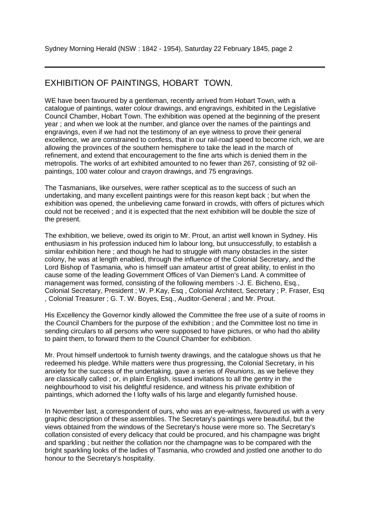## EXHIBITION OF PAINTINGS, HOBART TOWN.

WE have been favoured by a gentleman, recently arrived from Hobart Town, with a catalogue of paintings, water colour drawings, and engravings, exhibited in the Legislative Council Chamber, Hobart Town. The exhibition was opened at the beginning of the present year ; and when we look at the number, and glance over the names of the paintings and engravings, even if we had not the testimony of an eye witness to prove their general excellence, we are constrained to confess, that in our rail-road speed to become rich, we are allowing the provinces of the southern hemisphere to take the lead in the march of refinement, and extend that encouragement to the fine arts which is denied them in the metropolis. The works of art exhibited amounted to no fewer than 267, consisting of 92 oilpaintings, 100 water colour and crayon drawings, and 75 engravings.

The Tasmanians, like ourselves, were rather sceptical as to the success of such an undertaking, and many excellent paintings were for this reason kept back ; but when the exhibition was opened, the unbelieving came forward in crowds, with offers of pictures which could not be received ; and it is expected that the next exhibition will be double the size of the present.

The exhibition, we believe, owed its origin to Mr. Prout, an artist well known in Sydney. His enthusiasm in his profession induced him lo labour long, but unsuccessfully, to establish a similar exhibition here ; and though he had to struggle with many obstacles in the sister colony, he was at length enabled, through the influence of the Colonial Secretary, and the Lord Bishop of Tasmania, who is himself uan amateur artist of great ability, to enlist in tho cause some of the leading Government Offices of Van Diemen's Land. A committee of management was formed, consisting of the following members :-J. E. Bicheno, Esq., Colonial Secretary, President ; W. P.Kay, Esq , Colonial Architect, Secretary ; P. Fraser, Esq , Colonial Treasurer ; G. T. W. Boyes, Esq., Auditor-General ; and Mr. Prout.

His Excellency the Governor kindly allowed the Committee the free use of a suite of rooms in the Council Chambers for the purpose of the exhibition ; and the Committee lost no time in sending circulars to all persons who were supposed to have pictures, or who had tho ability to paint them, to forward them to the Council Chamber for exhibition.

Mr. Prout himself undertook to furnish twenty drawings, and the catalogue shows us that he redeemed his pledge. While matters were thus progressing, the Colonial Secretary, in his anxiety for the success of the undertaking, gave a series of *Reunions*, as we believe they are classically called ; or, in plain English, issued invitations to all the gentry in the neighbourhood to visit his delightful residence, and witness his private exhibition of paintings, which adorned the I lofty walls of his large and elegantly furnished house.

In November last, a correspondent of ours, who was an eye-witness, favoured us with a very graphic description of these assemblies. The Secretary's paintings were beautiful, but the views obtained from the windows of the Secretary's house were more so. The Secretary's collation consisted of every delicacy that could be procured, and his champagne was bright and sparkling ; but neither the collation nor the champagne was to be compared with the bright sparkling looks of the ladies of Tasmania, who crowded and jostled one another to do honour to the Secretary's hospitality.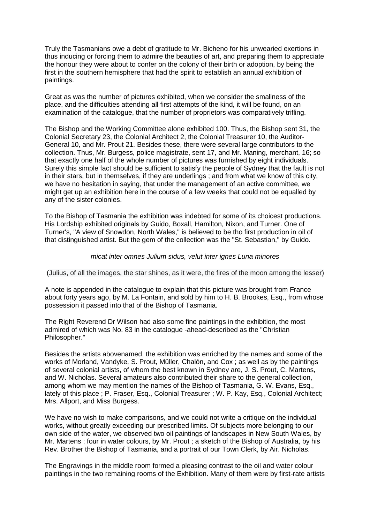Truly the Tasmanians owe a debt of gratitude to Mr. Bicheno for his unwearied exertions in thus inducing or forcing them to admire the beauties of art, and preparing them to appreciate the honour they were about to confer on the colony of their birth or adoption, by being the first in the southern hemisphere that had the spirit to establish an annual exhibition of paintings.

Great as was the number of pictures exhibited, when we consider the smallness of the place, and the difficulties attending all first attempts of the kind, it will be found, on an examination of the catalogue, that the number of proprietors was comparatively trifling.

The Bishop and the Working Committee alone exhibited 100. Thus, the Bishop sent 31, the Colonial Secretary 23, the Colonial Architect 2, the Colonial Treasurer 10, the Auditor-General 10, and Mr. Prout 21. Besides these, there were several large contributors to the collection. Thus, Mr. Burgess, police magistrate, sent 17, and Mr. Maning, merchant, 16; so that exactly one half of the whole number of pictures was furnished by eight individuals. Surely this simple fact should be sufficient to satisfy the people of Sydney that the fault is not in their stars, but in themselves, if they are underlings ; and from what we know of this city, we have no hesitation in saying, that under the management of an active committee, we might get up an exhibition here in the course of a few weeks that could not be equalled by any of the sister colonies.

To the Bishop of Tasmania the exhibition was indebted for some of its choicest productions. His Lordship exhibited originals by Guido, Boxall, Hamilton, Nixon, and Turner. One of Turner's, "A view of Snowdon, North Wales," is believed to be tho first production in oil of that distinguished artist. But the gem of the collection was the "St. Sebastian," by Guido.

## *micat inter omnes Julium sidus, velut inter ignes Luna minores*

(Julius, of all the images, the star shines, as it were, the fires of the moon among the lesser)

A note is appended in the catalogue to explain that this picture was brought from France about forty years ago, by M. La Fontain, and sold by him to H. B. Brookes, Esq., from whose possession it passed into that of the Bishop of Tasmania.

The Right Reverend Dr Wilson had also some fine paintings in the exhibition, the most admired of which was No. 83 in the catalogue -ahead-described as the "Christian Philosopher."

Besides the artists abovenamed, the exhibition was enriched by the names and some of the works of Morland, Vandyke, S. Prout, Müller, Chalón, and Cox ; as well as by the paintings of several colonial artists, of whom the best known in Sydney are, J. S. Prout, C. Martens, and W. Nicholas. Several amateurs also contributed their share to the general collection, among whom we may mention the names of the Bishop of Tasmania, G. W. Evans, Esq., lately of this place ; P. Fraser, Esq., Colonial Treasurer ; W. P. Kay, Esq., Colonial Architect; Mrs. Allport, and Miss Burgess.

We have no wish to make comparisons, and we could not write a critique on the individual works, without greatly exceeding our prescribed limits. Of subjects more belonging to our own side of the water, we observed two oil paintings of landscapes in New South Wales, by Mr. Martens ; four in water colours, by Mr. Prout ; a sketch of the Bishop of Australia, by his Rev. Brother the Bishop of Tasmania, and a portrait of our Town Clerk, by Air. Nicholas.

The Engravings in the middle room formed a pleasing contrast to the oil and water colour paintings in the two remaining rooms of the Exhibition. Many of them were by first-rate artists